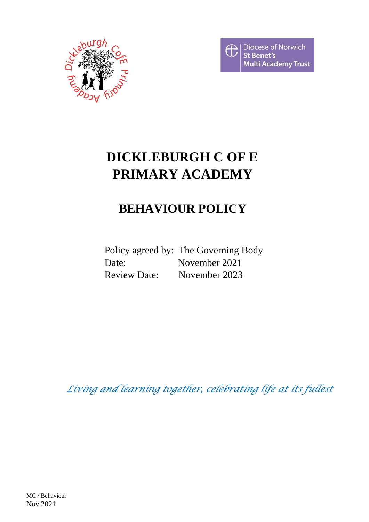



# **DICKLEBURGH C OF E PRIMARY ACADEMY**

# **BEHAVIOUR POLICY**

Policy agreed by: The Governing Body Date: November 2021 Review Date: November 2023

*Living and learning together, celebrating life at its fullest*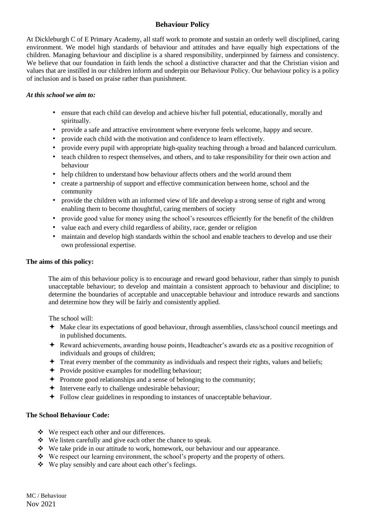# **Behaviour Policy**

At Dickleburgh C of E Primary Academy, all staff work to promote and sustain an orderly well disciplined, caring environment. We model high standards of behaviour and attitudes and have equally high expectations of the children. Managing behaviour and discipline is a shared responsibility, underpinned by fairness and consistency. We believe that our foundation in faith lends the school a distinctive character and that the Christian vision and values that are instilled in our children inform and underpin our Behaviour Policy. Our behaviour policy is a policy of inclusion and is based on praise rather than punishment.

#### *At this school we aim to:*

- ensure that each child can develop and achieve his/her full potential, educationally, morally and spiritually.
- provide a safe and attractive environment where everyone feels welcome, happy and secure.
- provide each child with the motivation and confidence to learn effectively.
- provide every pupil with appropriate high-quality teaching through a broad and balanced curriculum.
- teach children to respect themselves, and others, and to take responsibility for their own action and behaviour
- help children to understand how behaviour affects others and the world around them
- create a partnership of support and effective communication between home, school and the community
- provide the children with an informed view of life and develop a strong sense of right and wrong enabling them to become thoughtful, caring members of society
- provide good value for money using the school's resources efficiently for the benefit of the children
- value each and every child regardless of ability, race, gender or religion
- maintain and develop high standards within the school and enable teachers to develop and use their own professional expertise.

#### **The aims of this policy:**

The aim of this behaviour policy is to encourage and reward good behaviour, rather than simply to punish unacceptable behaviour; to develop and maintain a consistent approach to behaviour and discipline; to determine the boundaries of acceptable and unacceptable behaviour and introduce rewards and sanctions and determine how they will be fairly and consistently applied.

The school will:

- Make clear its expectations of good behaviour, through assemblies, class/school council meetings and in published documents.
- Reward achievements, awarding house points, Headteacher's awards etc as a positive recognition of individuals and groups of children;
- $\triangle$  Treat every member of the community as individuals and respect their rights, values and beliefs;
- $\rightarrow$  Provide positive examples for modelling behaviour;
- Promote good relationships and a sense of belonging to the community;
- $\triangleq$  Intervene early to challenge undesirable behaviour;
- Follow clear guidelines in responding to instances of unacceptable behaviour.

#### **The School Behaviour Code:**

- ❖ We respect each other and our differences.
- ❖ We listen carefully and give each other the chance to speak.
- ❖ We take pride in our attitude to work, homework, our behaviour and our appearance.
- ❖ We respect our learning environment, the school's property and the property of others.
- ❖ We play sensibly and care about each other's feelings.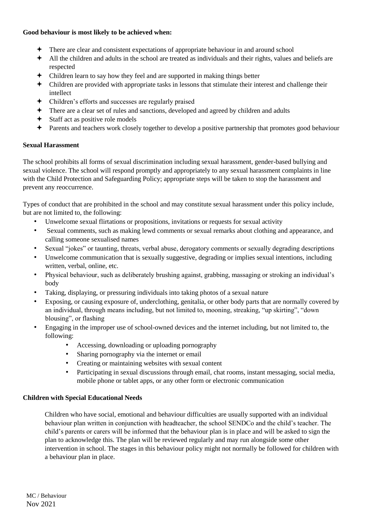#### **Good behaviour is most likely to be achieved when:**

- There are clear and consistent expectations of appropriate behaviour in and around school
- All the children and adults in the school are treated as individuals and their rights, values and beliefs are respected
- Children learn to say how they feel and are supported in making things better
- Children are provided with appropriate tasks in lessons that stimulate their interest and challenge their intellect
- Children's efforts and successes are regularly praised
- There are a clear set of rules and sanctions, developed and agreed by children and adults
- Staff act as positive role models
- Parents and teachers work closely together to develop a positive partnership that promotes good behaviour

## **Sexual Harassment**

The school prohibits all forms of sexual discrimination including sexual harassment, gender-based bullying and sexual violence. The school will respond promptly and appropriately to any sexual harassment complaints in line with the Child Protection and Safeguarding Policy; appropriate steps will be taken to stop the harassment and prevent any reoccurrence.

Types of conduct that are prohibited in the school and may constitute sexual harassment under this policy include, but are not limited to, the following:

- Unwelcome sexual flirtations or propositions, invitations or requests for sexual activity
- Sexual comments, such as making lewd comments or sexual remarks about clothing and appearance, and calling someone sexualised names
- Sexual "jokes" or taunting, threats, verbal abuse, derogatory comments or sexually degrading descriptions
- Unwelcome communication that is sexually suggestive, degrading or implies sexual intentions, including written, verbal, online, etc.
- Physical behaviour, such as deliberately brushing against, grabbing, massaging or stroking an individual's body
- Taking, displaying, or pressuring individuals into taking photos of a sexual nature
- Exposing, or causing exposure of, underclothing, genitalia, or other body parts that are normally covered by an individual, through means including, but not limited to, mooning, streaking, "up skirting", "down blousing", or flashing
- Engaging in the improper use of school-owned devices and the internet including, but not limited to, the following:
	- Accessing, downloading or uploading pornography
	- Sharing pornography via the internet or email
	- Creating or maintaining websites with sexual content
	- Participating in sexual discussions through email, chat rooms, instant messaging, social media, mobile phone or tablet apps, or any other form or electronic communication

## **Children with Special Educational Needs**

Children who have social, emotional and behaviour difficulties are usually supported with an individual behaviour plan written in conjunction with headteacher, the school SENDCo and the child's teacher. The child's parents or carers will be informed that the behaviour plan is in place and will be asked to sign the plan to acknowledge this. The plan will be reviewed regularly and may run alongside some other intervention in school. The stages in this behaviour policy might not normally be followed for children with a behaviour plan in place.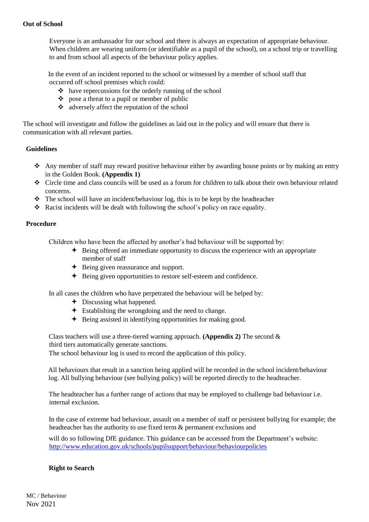Everyone is an ambassador for our school and there is always an expectation of appropriate behaviour. When children are wearing uniform (or identifiable as a pupil of the school), on a school trip or travelling to and from school all aspects of the behaviour policy applies.

 In the event of an incident reported to the school or witnessed by a member of school staff that occurred off school premises which could:

- ❖ have repercussions for the orderly running of the school
- ❖ pose a threat to a pupil or member of public
- ❖ adversely affect the reputation of the school

The school will investigate and follow the guidelines as laid out in the policy and will ensure that there is communication with all relevant parties.

#### **Guidelines**

- ❖ Any member of staff may reward positive behaviour either by awarding house points or by making an entry in the Golden Book. **(Appendix 1)**
- ❖ Circle time and class councils will be used as a forum for children to talk about their own behaviour related concerns.
- ❖ The school will have an incident/behaviour log, this is to be kept by the headteacher
- ❖ Racist incidents will be dealt with following the school's policy on race equality.

#### **Procedure**

Children who have been the affected by another's bad behaviour will be supported by:

- Being offered an immediate opportunity to discuss the experience with an appropriate member of staff
- **←** Being given reassurance and support.
- Being given opportunities to restore self-esteem and confidence.

In all cases the children who have perpetrated the behaviour will be helped by:

- Discussing what happened.
- $\div$  Establishing the wrongdoing and the need to change.
- **←** Being assisted in identifying opportunities for making good.

Class teachers will use a three-tiered warning approach. **(Appendix 2)** The second & third tiers automatically generate sanctions.

The school behaviour log is used to record the application of this policy.

All behaviours that result in a sanction being applied will be recorded in the school incident/behaviour log. All bullying behaviour (see bullying policy) will be reported directly to the headteacher.

The headteacher has a further range of actions that may be employed to challenge bad behaviour i.e. internal exclusion.

In the case of extreme bad behaviour, assault on a member of staff or persistent bullying for example; the headteacher has the authority to use fixed term & permanent exclusions and

will do so following DfE guidance. This guidance can be accessed from the Department's website: <http://www.education.gov.uk/schools/pupilsupport/behaviour/behaviourpolicies>

#### **Right to Search**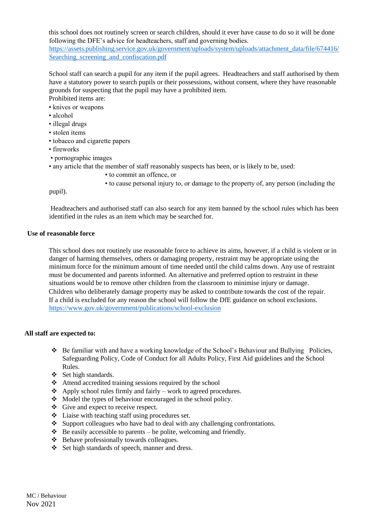this school does not routinely screen or search children, should it ever have cause to do so it will be done following the DFE's advice for headteachers, staff and governing bodies.

[https://assets.publishing.service.gov.uk/government/uploads/system/uploads/attachment\\_data/file/674416/](https://assets.publishing.service.gov.uk/government/uploads/system/uploads/attachment_data/file/674416/Searching_screening_and_confiscation.pdf) Searching screening and confiscation.pdf

School staff can search a pupil for any item if the pupil agrees. Headteachers and staff authorised by them have a statutory power to search pupils or their possessions, without consent, where they have reasonable grounds for suspecting that the pupil may have a prohibited item.

Prohibited items are:

- knives or weapons
- alcohol
- illegal drugs
- stolen items
- tobacco and cigarette papers
- fireworks
- pornographic images
- any article that the member of staff reasonably suspects has been, or is likely to be, used:
	- to commit an offence, or
	- to cause personal injury to, or damage to the property of, any person (including the

pupil).

Headteachers and authorised staff can also search for any item banned by the school rules which has been identified in the rules as an item which may be searched for.

#### **Use of reasonable force**

This school does not routinely use reasonable force to achieve its aims, however, if a child is violent or in danger of harming themselves, others or damaging property, restraint may be appropriate using the minimum force for the minimum amount of time needed until the child calms down. Any use of restraint must be documented and parents informed. An alternative and preferred option to restraint in these situations would be to remove other children from the classroom to minimise injury or damage. Children who deliberately damage property may be asked to contribute towards the cost of the repair. If a child is excluded for any reason the school will follow the DfE guidance on school exclusions. <https://www.gov.uk/government/publications/school-exclusion>

#### **All staff are expected to:**

- ❖ Be familiar with and have a working knowledge of the School's Behaviour and Bullying Policies, Safeguarding Policy, Code of Conduct for all Adults Policy, First Aid guidelines and the School Rules.
- ❖ Set high standards.
- ❖ Attend accredited training sessions required by the school
- $\triangle$  Apply school rules firmly and fairly work to agreed procedures.
- ❖ Model the types of behaviour encouraged in the school policy.
- ❖ Give and expect to receive respect.
- ❖ Liaise with teaching staff using procedures set.
- ❖ Support colleagues who have had to deal with any challenging confrontations.
- $\triangleleft$  Be easily accessible to parents be polite, welcoming and friendly.
- ❖ Behave professionally towards colleagues.
- ❖ Set high standards of speech, manner and dress.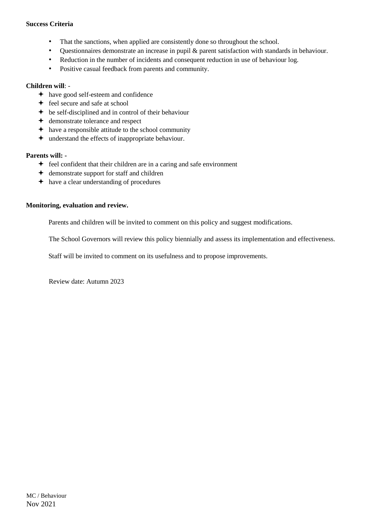#### **Success Criteria**

- That the sanctions, when applied are consistently done so throughout the school.
- Questionnaires demonstrate an increase in pupil & parent satisfaction with standards in behaviour.
- Reduction in the number of incidents and consequent reduction in use of behaviour log.
- Positive casual feedback from parents and community.

#### **Children will**: -

- have good self-esteem and confidence
- **←** feel secure and safe at school
- $\div$  be self-disciplined and in control of their behaviour
- demonstrate tolerance and respect
- $\rightarrow$  have a responsible attitude to the school community
- understand the effects of inappropriate behaviour.

#### **Parents will: -**

- $\div$  feel confident that their children are in a caring and safe environment
- demonstrate support for staff and children
- have a clear understanding of procedures

#### **Monitoring, evaluation and review.**

Parents and children will be invited to comment on this policy and suggest modifications.

The School Governors will review this policy biennially and assess its implementation and effectiveness.

Staff will be invited to comment on its usefulness and to propose improvements.

Review date: Autumn 2023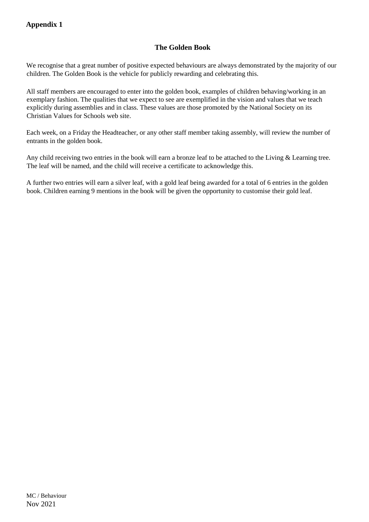# **The Golden Book**

We recognise that a great number of positive expected behaviours are always demonstrated by the majority of our children. The Golden Book is the vehicle for publicly rewarding and celebrating this.

All staff members are encouraged to enter into the golden book, examples of children behaving/working in an exemplary fashion. The qualities that we expect to see are exemplified in the vision and values that we teach explicitly during assemblies and in class. These values are those promoted by the National Society on its Christian Values for Schools web site.

Each week, on a Friday the Headteacher, or any other staff member taking assembly, will review the number of entrants in the golden book.

Any child receiving two entries in the book will earn a bronze leaf to be attached to the Living & Learning tree. The leaf will be named, and the child will receive a certificate to acknowledge this.

A further two entries will earn a silver leaf, with a gold leaf being awarded for a total of 6 entries in the golden book. Children earning 9 mentions in the book will be given the opportunity to customise their gold leaf.